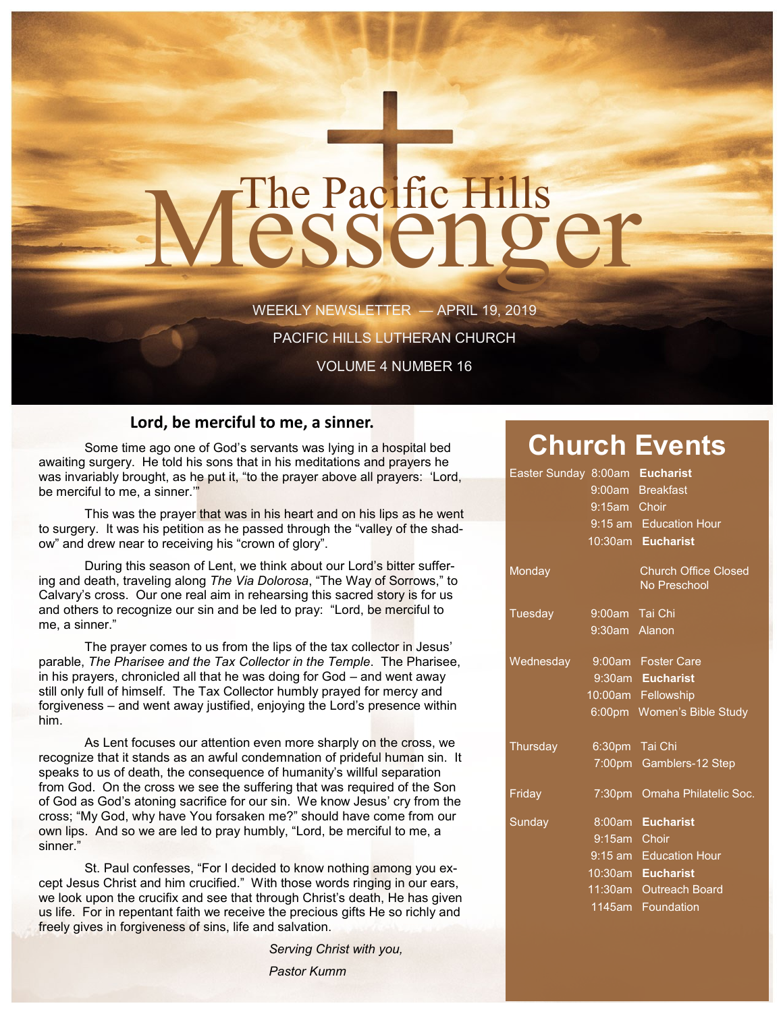# The Pacific Hills<br>CSSCNQCT

WEEKLY NEWSLETTER — APRIL 19, 2019

PACIFIC HILLS LUTHERAN CHURCH

VOLUME 4 NUMBER 16

#### **Lord, be merciful to me, a sinner.**

Some time ago one of God's servants was lying in a hospital bed awaiting surgery. He told his sons that in his meditations and prayers he was invariably brought, as he put it, "to the prayer above all prayers: 'Lord, be merciful to me, a sinner.'"

This was the prayer that was in his heart and on his lips as he went to surgery. It was his petition as he passed through the "valley of the shadow" and drew near to receiving his "crown of glory".

During this season of Lent, we think about our Lord's bitter suffering and death, traveling along *The Via Dolorosa*, "The Way of Sorrows," to Calvary's cross. Our one real aim in rehearsing this sacred story is for us and others to recognize our sin and be led to pray: "Lord, be merciful to me, a sinner."

The prayer comes to us from the lips of the tax collector in Jesus' parable, *The Pharisee and the Tax Collector in the Temple*. The Pharisee, in his prayers, chronicled all that he was doing for God – and went away still only full of himself. The Tax Collector humbly prayed for mercy and forgiveness – and went away justified, enjoying the Lord's presence within him.

As Lent focuses our attention even more sharply on the cross, we recognize that it stands as an awful condemnation of prideful human sin. It speaks to us of death, the consequence of humanity's willful separation from God. On the cross we see the suffering that was required of the Son of God as God's atoning sacrifice for our sin. We know Jesus' cry from the cross; "My God, why have You forsaken me?" should have come from our own lips. And so we are led to pray humbly, "Lord, be merciful to me, a sinner."

St. Paul confesses, "For I decided to know nothing among you except Jesus Christ and him crucified." With those words ringing in our ears, we look upon the crucifix and see that through Christ's death, He has given us life. For in repentant faith we receive the precious gifts He so richly and freely gives in forgiveness of sins, life and salvation.

*Serving Christ with you,* 

*Pastor Kumm* 

### **Church Events**

|                | Easter Sunday 8:00am Eucharist |
|----------------|--------------------------------|
|                | 9:00am Breakfast               |
| 9:15am Choir   |                                |
|                | 9:15 am Education Hour         |
|                | 10:30am Eucharist              |
|                | <b>Church Office Closed</b>    |
|                | No Preschool                   |
| 9:00am Tai Chi |                                |
| 9:30am Alanon  |                                |
|                | 9:00am Foster Care             |
|                | 9:30am Eucharist               |
|                | 10:00am Fellowship             |
|                | 6:00pm Women's Bible Study     |
| 6:30pm Tai Chi |                                |
|                | 7:00pm Gamblers-12 Step        |
|                | 7:30pm Omaha Philatelic Soc.   |
|                | 8:00am Eucharist               |
| 9:15am Choir   |                                |
|                | 9:15 am Education Hour         |
|                | 10:30am Eucharist              |
|                | 11:30am Outreach Board         |
|                | 1145am Foundation              |
|                |                                |